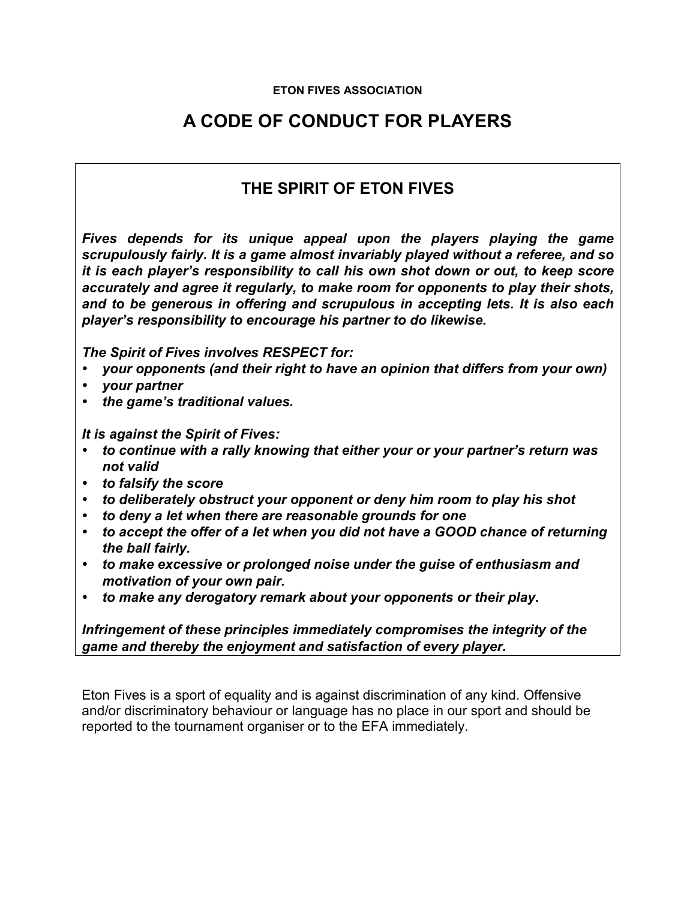## **ETON FIVES ASSOCIATION**

## **A CODE OF CONDUCT FOR PLAYERS**

## **THE SPIRIT OF ETON FIVES**

*Fives depends for its unique appeal upon the players playing the game scrupulously fairly. It is a game almost invariably played without a referee, and so it is each player's responsibility to call his own shot down or out, to keep score accurately and agree it regularly, to make room for opponents to play their shots, and to be generous in offering and scrupulous in accepting lets. It is also each player's responsibility to encourage his partner to do likewise.* 

*The Spirit of Fives involves RESPECT for:* 

- *your opponents (and their right to have an opinion that differs from your own)*
- *your partner*
- *the game's traditional values.*

*It is against the Spirit of Fives:* 

- *to continue with a rally knowing that either your or your partner's return was not valid*
- *to falsify the score*
- *to deliberately obstruct your opponent or deny him room to play his shot*
- *to deny a let when there are reasonable grounds for one*
- *to accept the offer of a let when you did not have a GOOD chance of returning the ball fairly.*
- *to make excessive or prolonged noise under the guise of enthusiasm and motivation of your own pair.*
- *to make any derogatory remark about your opponents or their play.*

*Infringement of these principles immediately compromises the integrity of the game and thereby the enjoyment and satisfaction of every player.* 

Eton Fives is a sport of equality and is against discrimination of any kind. Offensive and/or discriminatory behaviour or language has no place in our sport and should be reported to the tournament organiser or to the EFA immediately.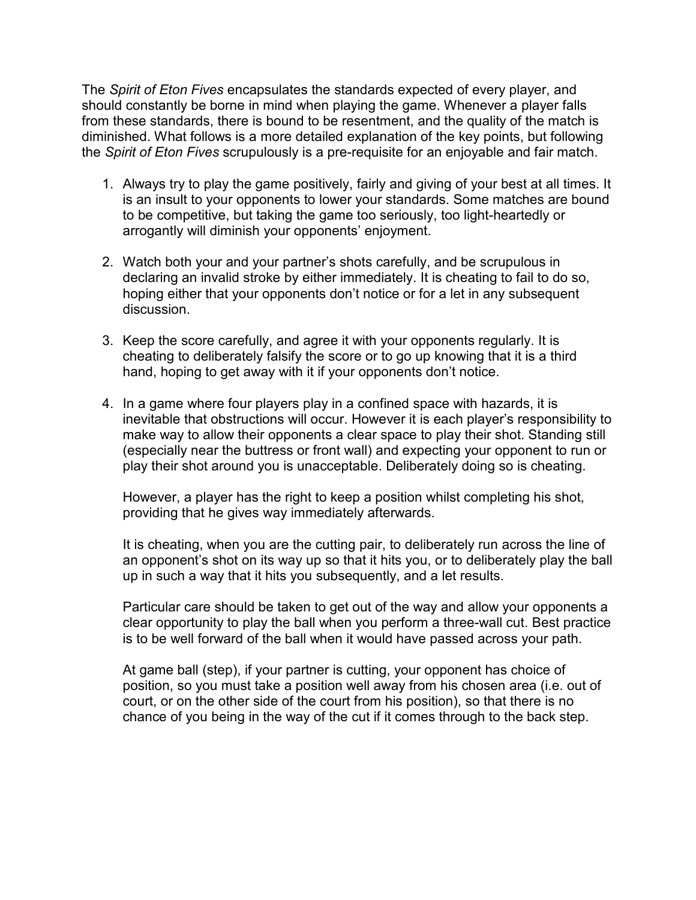The *Spirit of Eton Fives* encapsulates the standards expected of every player, and should constantly be borne in mind when playing the game. Whenever a player falls from these standards, there is bound to be resentment, and the quality of the match is diminished. What follows is a more detailed explanation of the key points, but following the *Spirit of Eton Fives* scrupulously is a pre-requisite for an enjoyable and fair match.

- 1. Always try to play the game positively, fairly and giving of your best at all times. It is an insult to your opponents to lower your standards. Some matches are bound to be competitive, but taking the game too seriously, too light-heartedly or arrogantly will diminish your opponents' enjoyment.
- 2. Watch both your and your partner's shots carefully, and be scrupulous in declaring an invalid stroke by either immediately. It is cheating to fail to do so, hoping either that your opponents don't notice or for a let in any subsequent discussion.
- 3. Keep the score carefully, and agree it with your opponents regularly. It is cheating to deliberately falsify the score or to go up knowing that it is a third hand, hoping to get away with it if your opponents don't notice.
- 4. In a game where four players play in a confined space with hazards, it is inevitable that obstructions will occur. However it is each player's responsibility to make way to allow their opponents a clear space to play their shot. Standing still (especially near the buttress or front wall) and expecting your opponent to run or play their shot around you is unacceptable. Deliberately doing so is cheating.

However, a player has the right to keep a position whilst completing his shot, providing that he gives way immediately afterwards.

It is cheating, when you are the cutting pair, to deliberately run across the line of an opponent's shot on its way up so that it hits you, or to deliberately play the ball up in such a way that it hits you subsequently, and a let results.

Particular care should be taken to get out of the way and allow your opponents a clear opportunity to play the ball when you perform a three-wall cut. Best practice is to be well forward of the ball when it would have passed across your path.

At game ball (step), if your partner is cutting, your opponent has choice of position, so you must take a position well away from his chosen area (i.e. out of court, or on the other side of the court from his position), so that there is no chance of you being in the way of the cut if it comes through to the back step.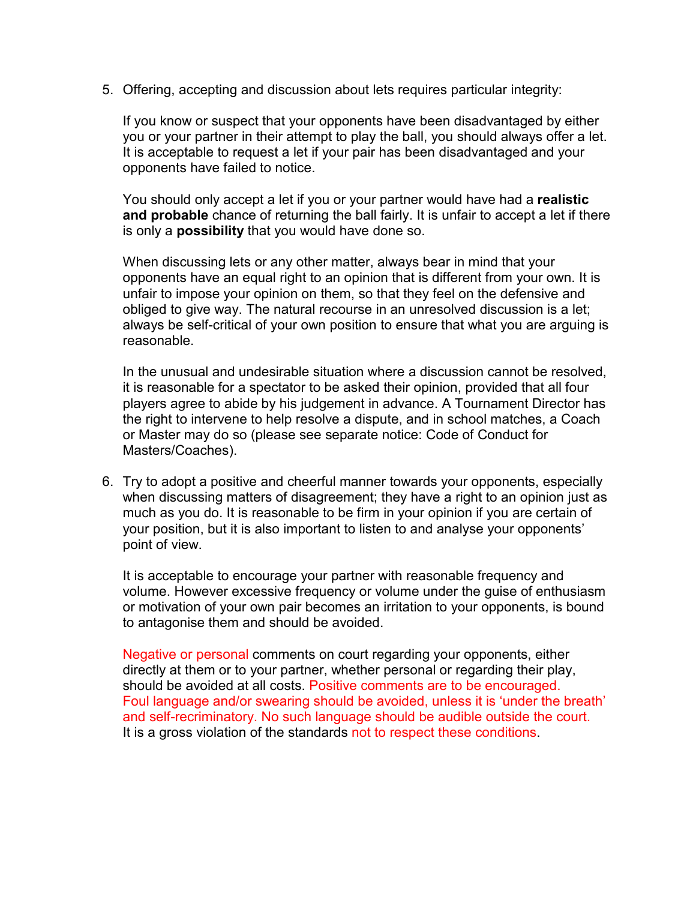5. Offering, accepting and discussion about lets requires particular integrity:

If you know or suspect that your opponents have been disadvantaged by either you or your partner in their attempt to play the ball, you should always offer a let. It is acceptable to request a let if your pair has been disadvantaged and your opponents have failed to notice.

You should only accept a let if you or your partner would have had a **realistic and probable** chance of returning the ball fairly. It is unfair to accept a let if there is only a **possibility** that you would have done so.

When discussing lets or any other matter, always bear in mind that your opponents have an equal right to an opinion that is different from your own. It is unfair to impose your opinion on them, so that they feel on the defensive and obliged to give way. The natural recourse in an unresolved discussion is a let; always be self-critical of your own position to ensure that what you are arguing is reasonable.

In the unusual and undesirable situation where a discussion cannot be resolved, it is reasonable for a spectator to be asked their opinion, provided that all four players agree to abide by his judgement in advance. A Tournament Director has the right to intervene to help resolve a dispute, and in school matches, a Coach or Master may do so (please see separate notice: Code of Conduct for Masters/Coaches).

6. Try to adopt a positive and cheerful manner towards your opponents, especially when discussing matters of disagreement; they have a right to an opinion just as much as you do. It is reasonable to be firm in your opinion if you are certain of your position, but it is also important to listen to and analyse your opponents' point of view.

It is acceptable to encourage your partner with reasonable frequency and volume. However excessive frequency or volume under the guise of enthusiasm or motivation of your own pair becomes an irritation to your opponents, is bound to antagonise them and should be avoided.

Negative or personal comments on court regarding your opponents, either directly at them or to your partner, whether personal or regarding their play, should be avoided at all costs. Positive comments are to be encouraged. Foul language and/or swearing should be avoided, unless it is 'under the breath' and self-recriminatory. No such language should be audible outside the court. It is a gross violation of the standards not to respect these conditions.